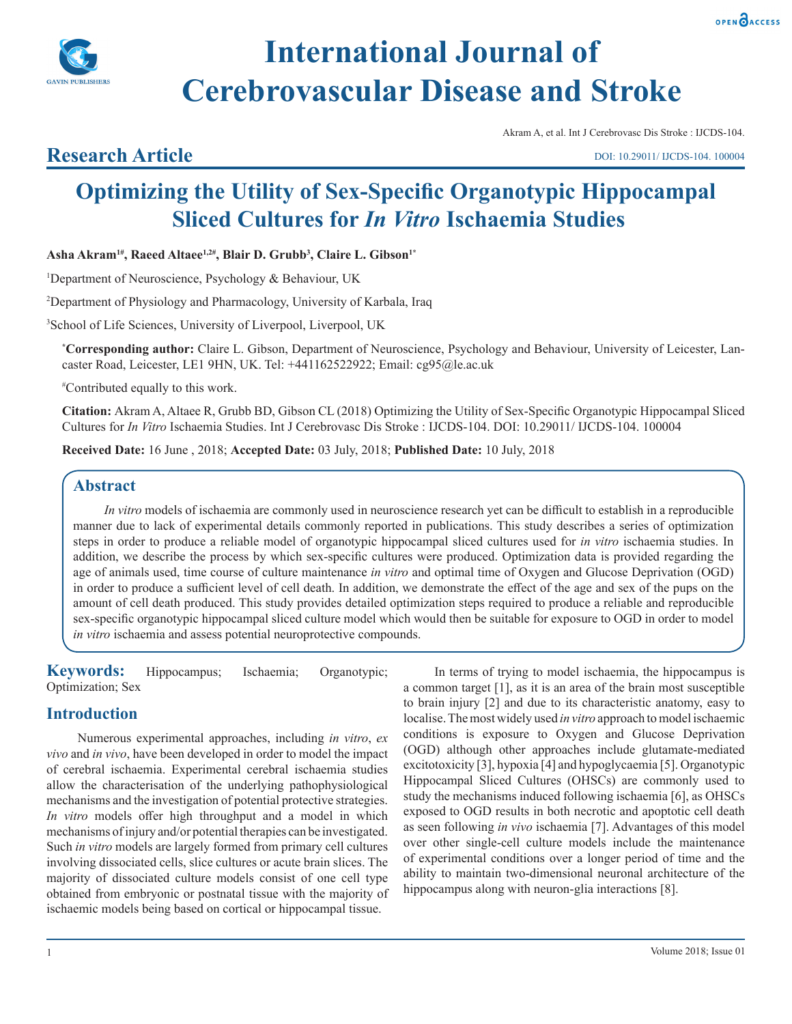



# **International Journal of Cerebrovascular Disease and Stroke**

#### Akram A, et al. Int J Cerebrovasc Dis Stroke : IJCDS-104.

# **Research Article**

DOI: 10.29011/ IJCDS-104. 100004

# **Optimizing the Utility of Sex-Specific Organotypic Hippocampal Sliced Cultures for** *In Vitro* **Ischaemia Studies**

**Asha Akram1#, Raeed Altaee1,2#, Blair D. Grubb3 , Claire L. Gibson1\***

1 Department of Neuroscience, Psychology & Behaviour, UK

2 Department of Physiology and Pharmacology, University of Karbala, Iraq

3 School of Life Sciences, University of Liverpool, Liverpool, UK

**\* Corresponding author:** Claire L. Gibson, Department of Neuroscience, Psychology and Behaviour, University of Leicester, Lancaster Road, Leicester, LE1 9HN, UK. Tel: +441162522922; Email: cg95@le.ac.uk

# Contributed equally to this work.

**Citation:** Akram A, Altaee R, Grubb BD, Gibson CL (2018) Optimizing the Utility of Sex-Specific Organotypic Hippocampal Sliced Cultures for *In Vitro* Ischaemia Studies. Int J Cerebrovasc Dis Stroke : IJCDS-104. DOI: 10.29011/ IJCDS-104. 100004

**Received Date:** 16 June , 2018; **Accepted Date:** 03 July, 2018; **Published Date:** 10 July, 2018

#### **Abstract**

*In vitro* models of ischaemia are commonly used in neuroscience research yet can be difficult to establish in a reproducible manner due to lack of experimental details commonly reported in publications. This study describes a series of optimization steps in order to produce a reliable model of organotypic hippocampal sliced cultures used for *in vitro* ischaemia studies. In addition, we describe the process by which sex-specific cultures were produced. Optimization data is provided regarding the age of animals used, time course of culture maintenance *in vitro* and optimal time of Oxygen and Glucose Deprivation (OGD) in order to produce a sufficient level of cell death. In addition, we demonstrate the effect of the age and sex of the pups on the amount of cell death produced. This study provides detailed optimization steps required to produce a reliable and reproducible sex-specific organotypic hippocampal sliced culture model which would then be suitable for exposure to OGD in order to model *in vitro* ischaemia and assess potential neuroprotective compounds.

**Keywords:** Hippocampus; Ischaemia; Organotypic; Optimization; Sex

# **Introduction**

Numerous experimental approaches, including *in vitro*, *ex vivo* and *in vivo*, have been developed in order to model the impact of cerebral ischaemia. Experimental cerebral ischaemia studies allow the characterisation of the underlying pathophysiological mechanisms and the investigation of potential protective strategies. *In vitro* models offer high throughput and a model in which mechanisms of injury and/or potential therapies can be investigated. Such *in vitro* models are largely formed from primary cell cultures involving dissociated cells, slice cultures or acute brain slices. The majority of dissociated culture models consist of one cell type obtained from embryonic or postnatal tissue with the majority of ischaemic models being based on cortical or hippocampal tissue.

In terms of trying to model ischaemia, the hippocampus is a common target [1], as it is an area of the brain most susceptible to brain injury [2] and due to its characteristic anatomy, easy to localise. The most widely used *in vitro* approach to model ischaemic conditions is exposure to Oxygen and Glucose Deprivation (OGD) although other approaches include glutamate-mediated excitotoxicity [3], hypoxia [4] and hypoglycaemia [5]. Organotypic Hippocampal Sliced Cultures (OHSCs) are commonly used to study the mechanisms induced following ischaemia [6], as OHSCs exposed to OGD results in both necrotic and apoptotic cell death as seen following *in vivo* ischaemia [7]. Advantages of this model over other single-cell culture models include the maintenance of experimental conditions over a longer period of time and the ability to maintain two-dimensional neuronal architecture of the hippocampus along with neuron-glia interactions [8].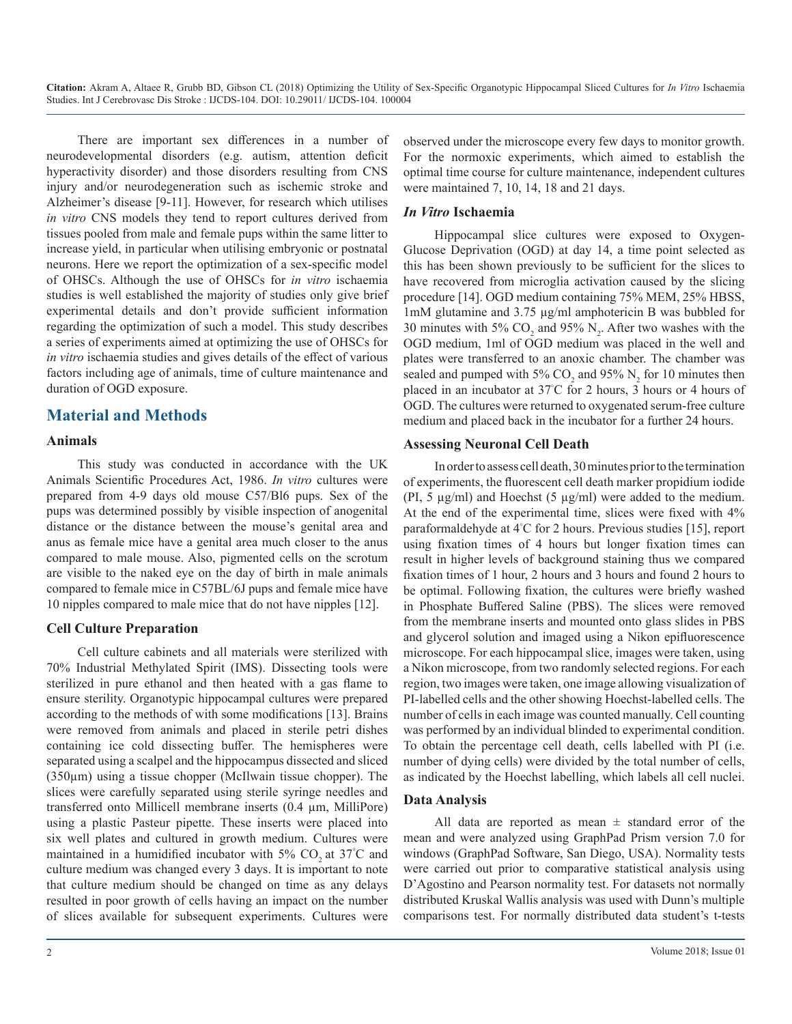There are important sex differences in a number of neurodevelopmental disorders (e.g. autism, attention deficit hyperactivity disorder) and those disorders resulting from CNS injury and/or neurodegeneration such as ischemic stroke and Alzheimer's disease [9-11]. However, for research which utilises *in vitro* CNS models they tend to report cultures derived from tissues pooled from male and female pups within the same litter to increase yield, in particular when utilising embryonic or postnatal neurons. Here we report the optimization of a sex-specific model of OHSCs. Although the use of OHSCs for *in vitro* ischaemia studies is well established the majority of studies only give brief experimental details and don't provide sufficient information regarding the optimization of such a model. This study describes a series of experiments aimed at optimizing the use of OHSCs for *in vitro* ischaemia studies and gives details of the effect of various factors including age of animals, time of culture maintenance and duration of OGD exposure.

# **Material and Methods**

#### **Animals**

This study was conducted in accordance with the UK Animals Scientific Procedures Act, 1986. *In vitro* cultures were prepared from 4-9 days old mouse C57/Bl6 pups. Sex of the pups was determined possibly by visible inspection of anogenital distance or the distance between the mouse's genital area and anus as female mice have a genital area much closer to the anus compared to male mouse. Also, pigmented cells on the scrotum are visible to the naked eye on the day of birth in male animals compared to female mice in C57BL/6J pups and female mice have 10 nipples compared to male mice that do not have nipples [12].

#### **Cell Culture Preparation**

Cell culture cabinets and all materials were sterilized with 70% Industrial Methylated Spirit (IMS). Dissecting tools were sterilized in pure ethanol and then heated with a gas flame to ensure sterility. Organotypic hippocampal cultures were prepared according to the methods of with some modifications [13]. Brains were removed from animals and placed in sterile petri dishes containing ice cold dissecting buffer. The hemispheres were separated using a scalpel and the hippocampus dissected and sliced  $(350\mu m)$  using a tissue chopper (McIlwain tissue chopper). The slices were carefully separated using sterile syringe needles and transferred onto Millicell membrane inserts (0.4 µm, MilliPore) using a plastic Pasteur pipette. These inserts were placed into six well plates and cultured in growth medium. Cultures were maintained in a humidified incubator with 5%  $CO_2$  at 37°C and culture medium was changed every 3 days. It is important to note that culture medium should be changed on time as any delays resulted in poor growth of cells having an impact on the number of slices available for subsequent experiments. Cultures were

observed under the microscope every few days to monitor growth. For the normoxic experiments, which aimed to establish the optimal time course for culture maintenance, independent cultures were maintained 7, 10, 14, 18 and 21 days.

#### *In Vitro* **Ischaemia**

Hippocampal slice cultures were exposed to Oxygen-Glucose Deprivation (OGD) at day 14, a time point selected as this has been shown previously to be sufficient for the slices to have recovered from microglia activation caused by the slicing procedure [14]. OGD medium containing 75% MEM, 25% HBSS, 1mM glutamine and 3.75 µg/ml amphotericin B was bubbled for 30 minutes with 5%  $CO_2$  and 95%  $N_2$ . After two washes with the OGD medium, 1ml of OGD medium was placed in the well and plates were transferred to an anoxic chamber. The chamber was sealed and pumped with 5%  $CO_2$  and 95%  $N_2$  for 10 minutes then placed in an incubator at 37° C for 2 hours, 3 hours or 4 hours of OGD. The cultures were returned to oxygenated serum-free culture medium and placed back in the incubator for a further 24 hours.

#### **Assessing Neuronal Cell Death**

In order to assess cell death, 30 minutes prior to the termination of experiments, the fluorescent cell death marker propidium iodide (PI, 5  $\mu$ g/ml) and Hoechst (5  $\mu$ g/ml) were added to the medium. At the end of the experimental time, slices were fixed with 4% paraformaldehyde at 4° C for 2 hours. Previous studies [15], report using fixation times of 4 hours but longer fixation times can result in higher levels of background staining thus we compared fixation times of 1 hour, 2 hours and 3 hours and found 2 hours to be optimal. Following fixation, the cultures were briefly washed in Phosphate Buffered Saline (PBS). The slices were removed from the membrane inserts and mounted onto glass slides in PBS and glycerol solution and imaged using a Nikon epifluorescence microscope. For each hippocampal slice, images were taken, using a Nikon microscope, from two randomly selected regions. For each region, two images were taken, one image allowing visualization of PI-labelled cells and the other showing Hoechst-labelled cells. The number of cells in each image was counted manually. Cell counting was performed by an individual blinded to experimental condition. To obtain the percentage cell death, cells labelled with PI (i.e. number of dying cells) were divided by the total number of cells, as indicated by the Hoechst labelling, which labels all cell nuclei.

#### **Data Analysis**

All data are reported as mean  $\pm$  standard error of the mean and were analyzed using GraphPad Prism version 7.0 for windows (GraphPad Software, San Diego, USA). Normality tests were carried out prior to comparative statistical analysis using D'Agostino and Pearson normality test. For datasets not normally distributed Kruskal Wallis analysis was used with Dunn's multiple comparisons test. For normally distributed data student's t-tests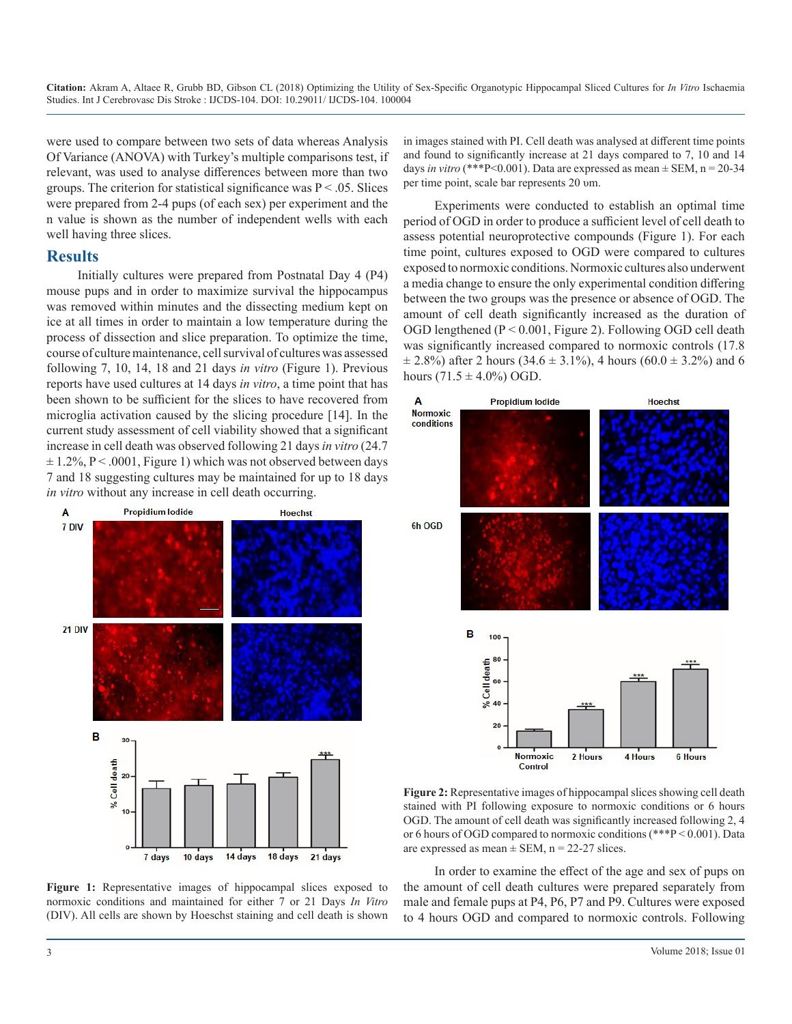were used to compare between two sets of data whereas Analysis Of Variance (ANOVA) with Turkey's multiple comparisons test, if relevant, was used to analyse differences between more than two groups. The criterion for statistical significance was  $P < 0.05$ . Slices were prepared from 2-4 pups (of each sex) per experiment and the n value is shown as the number of independent wells with each well having three slices.

### **Results**

Initially cultures were prepared from Postnatal Day 4 (P4) mouse pups and in order to maximize survival the hippocampus was removed within minutes and the dissecting medium kept on ice at all times in order to maintain a low temperature during the process of dissection and slice preparation. To optimize the time, course of culture maintenance, cell survival of cultures was assessed following 7, 10, 14, 18 and 21 days *in vitro* (Figure 1). Previous reports have used cultures at 14 days *in vitro*, a time point that has been shown to be sufficient for the slices to have recovered from microglia activation caused by the slicing procedure [14]. In the current study assessment of cell viability showed that a significant increase in cell death was observed following 21 days *in vitro* (24.7  $\pm$  1.2%, P < .0001, Figure 1) which was not observed between days 7 and 18 suggesting cultures may be maintained for up to 18 days *in vitro* without any increase in cell death occurring.



**Figure 1:** Representative images of hippocampal slices exposed to normoxic conditions and maintained for either 7 or 21 Days *In Vitro* (DIV). All cells are shown by Hoeschst staining and cell death is shown

in images stained with PI. Cell death was analysed at different time points and found to significantly increase at 21 days compared to 7, 10 and 14 days *in vitro* (\*\*\*P<0.001). Data are expressed as mean  $\pm$  SEM, n = 20-34 per time point, scale bar represents 20 υm.

Experiments were conducted to establish an optimal time period of OGD in order to produce a sufficient level of cell death to assess potential neuroprotective compounds (Figure 1). For each time point, cultures exposed to OGD were compared to cultures exposed to normoxic conditions. Normoxic cultures also underwent a media change to ensure the only experimental condition differing between the two groups was the presence or absence of OGD. The amount of cell death significantly increased as the duration of OGD lengthened  $(P < 0.001$ , Figure 2). Following OGD cell death was significantly increased compared to normoxic controls (17.8  $\pm$  2.8%) after 2 hours (34.6  $\pm$  3.1%), 4 hours (60.0  $\pm$  3.2%) and 6 hours  $(71.5 \pm 4.0\%)$  OGD.



**Figure 2:** Representative images of hippocampal slices showing cell death stained with PI following exposure to normoxic conditions or 6 hours OGD. The amount of cell death was significantly increased following 2, 4 or 6 hours of OGD compared to normoxic conditions (\*\*\*P < 0.001). Data are expressed as mean  $\pm$  SEM, n = 22-27 slices.

In order to examine the effect of the age and sex of pups on the amount of cell death cultures were prepared separately from male and female pups at P4, P6, P7 and P9. Cultures were exposed to 4 hours OGD and compared to normoxic controls. Following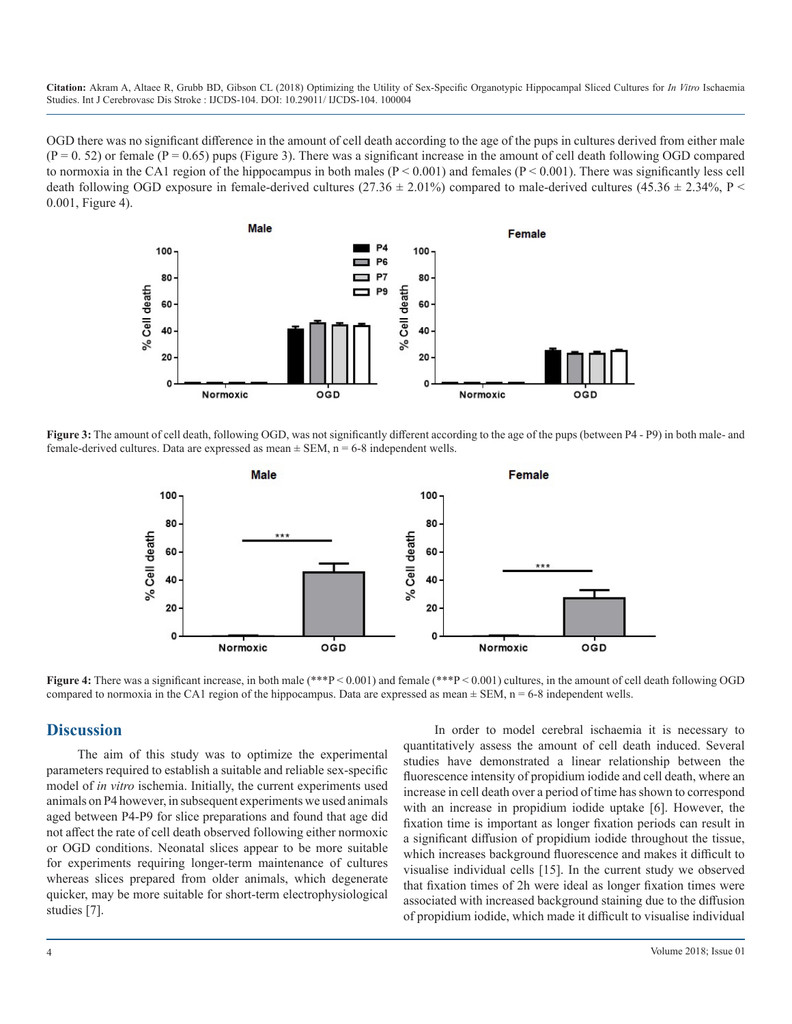OGD there was no significant difference in the amount of cell death according to the age of the pups in cultures derived from either male  $(P = 0.52)$  or female  $(P = 0.65)$  pups (Figure 3). There was a significant increase in the amount of cell death following OGD compared to normoxia in the CA1 region of the hippocampus in both males  $(P < 0.001)$  and females  $(P < 0.001)$ . There was significantly less cell death following OGD exposure in female-derived cultures (27.36  $\pm$  2.01%) compared to male-derived cultures (45.36  $\pm$  2.34%, P < 0.001, Figure 4).



**Figure 3:** The amount of cell death, following OGD, was not significantly different according to the age of the pups (between P4 - P9) in both male- and female-derived cultures. Data are expressed as mean  $\pm$  SEM, n = 6-8 independent wells.



**Figure 4:** There was a significant increase, in both male (\*\*\*P < 0.001) and female (\*\*\*P < 0.001) cultures, in the amount of cell death following OGD compared to normoxia in the CA1 region of the hippocampus. Data are expressed as mean  $\pm$  SEM, n = 6-8 independent wells.

#### **Discussion**

The aim of this study was to optimize the experimental parameters required to establish a suitable and reliable sex-specific model of *in vitro* ischemia. Initially, the current experiments used animals on P4 however, in subsequent experiments we used animals aged between P4-P9 for slice preparations and found that age did not affect the rate of cell death observed following either normoxic or OGD conditions. Neonatal slices appear to be more suitable for experiments requiring longer-term maintenance of cultures whereas slices prepared from older animals, which degenerate quicker, may be more suitable for short-term electrophysiological studies [7].

In order to model cerebral ischaemia it is necessary to quantitatively assess the amount of cell death induced. Several studies have demonstrated a linear relationship between the fluorescence intensity of propidium iodide and cell death, where an increase in cell death over a period of time has shown to correspond with an increase in propidium iodide uptake [6]. However, the fixation time is important as longer fixation periods can result in a significant diffusion of propidium iodide throughout the tissue, which increases background fluorescence and makes it difficult to visualise individual cells [15]. In the current study we observed that fixation times of 2h were ideal as longer fixation times were associated with increased background staining due to the diffusion of propidium iodide, which made it difficult to visualise individual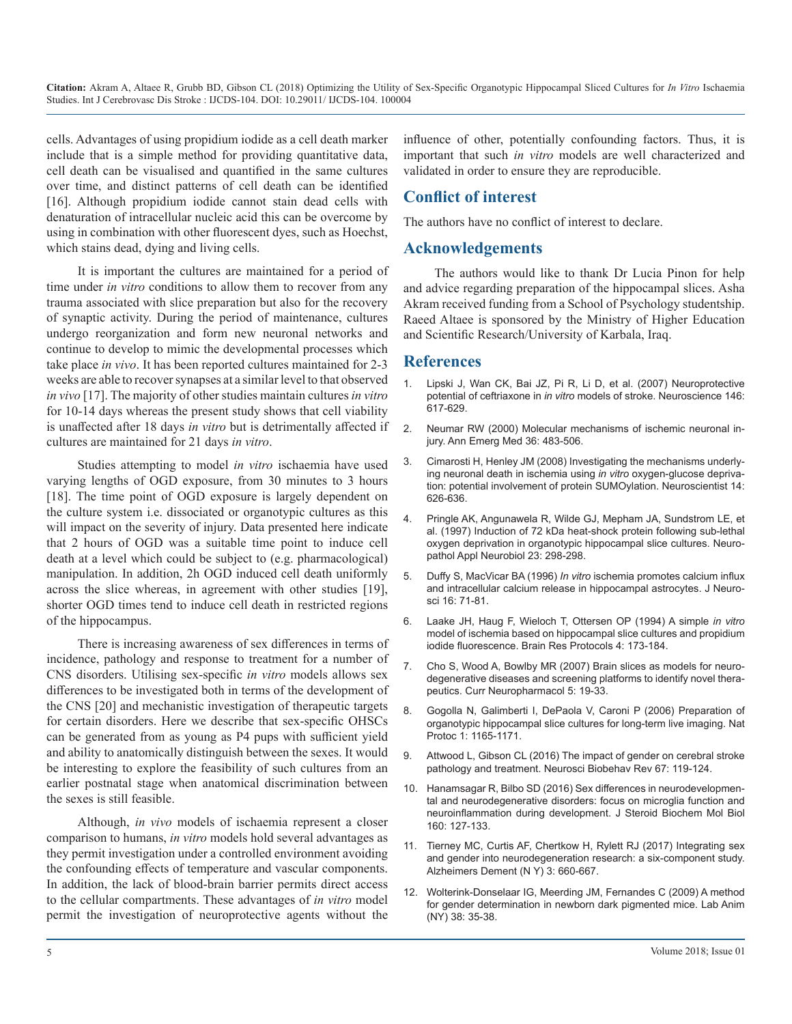cells. Advantages of using propidium iodide as a cell death marker include that is a simple method for providing quantitative data, cell death can be visualised and quantified in the same cultures over time, and distinct patterns of cell death can be identified [16]. Although propidium iodide cannot stain dead cells with denaturation of intracellular nucleic acid this can be overcome by using in combination with other fluorescent dyes, such as Hoechst, which stains dead, dying and living cells.

It is important the cultures are maintained for a period of time under *in vitro* conditions to allow them to recover from any trauma associated with slice preparation but also for the recovery of synaptic activity. During the period of maintenance, cultures undergo reorganization and form new neuronal networks and continue to develop to mimic the developmental processes which take place *in vivo*. It has been reported cultures maintained for 2-3 weeks are able to recover synapses at a similar level to that observed *in vivo* [17]. The majority of other studies maintain cultures *in vitro* for 10-14 days whereas the present study shows that cell viability is unaffected after 18 days *in vitro* but is detrimentally affected if cultures are maintained for 21 days *in vitro*.

Studies attempting to model *in vitro* ischaemia have used varying lengths of OGD exposure, from 30 minutes to 3 hours [18]. The time point of OGD exposure is largely dependent on the culture system i.e. dissociated or organotypic cultures as this will impact on the severity of injury. Data presented here indicate that 2 hours of OGD was a suitable time point to induce cell death at a level which could be subject to (e.g. pharmacological) manipulation. In addition, 2h OGD induced cell death uniformly across the slice whereas, in agreement with other studies [19], shorter OGD times tend to induce cell death in restricted regions of the hippocampus.

There is increasing awareness of sex differences in terms of incidence, pathology and response to treatment for a number of CNS disorders. Utilising sex-specific *in vitro* models allows sex differences to be investigated both in terms of the development of the CNS [20] and mechanistic investigation of therapeutic targets for certain disorders. Here we describe that sex-specific OHSCs can be generated from as young as P4 pups with sufficient yield and ability to anatomically distinguish between the sexes. It would be interesting to explore the feasibility of such cultures from an earlier postnatal stage when anatomical discrimination between the sexes is still feasible.

Although, *in vivo* models of ischaemia represent a closer comparison to humans, *in vitro* models hold several advantages as they permit investigation under a controlled environment avoiding the confounding effects of temperature and vascular components. In addition, the lack of blood-brain barrier permits direct access to the cellular compartments. These advantages of *in vitro* model permit the investigation of neuroprotective agents without the

influence of other, potentially confounding factors. Thus, it is important that such *in vitro* models are well characterized and validated in order to ensure they are reproducible.

# **Conflict of interest**

The authors have no conflict of interest to declare.

# **Acknowledgements**

The authors would like to thank Dr Lucia Pinon for help and advice regarding preparation of the hippocampal slices. Asha Akram received funding from a School of Psychology studentship. Raeed Altaee is sponsored by the Ministry of Higher Education and Scientific Research/University of Karbala, Iraq.

### **References**

- Lipski J, Wan CK, Bai JZ, Pi R, Li D, et al. (2007) Neuroprotective potential of ceftriaxone in *in vitro* models of stroke. Neuroscience 146: 617-629.
- 2. Neumar RW (2000) Molecular mechanisms of ischemic neuronal injury. Ann Emerg Med 36: 483-506.
- 3. Cimarosti H, Henley JM (2008) Investigating the mechanisms underlying neuronal death in ischemia using *in vitro* oxygen-glucose deprivation: potential involvement of protein SUMOylation. Neuroscientist 14: 626-636.
- 4. Pringle AK, Angunawela R, Wilde GJ, Mepham JA, Sundstrom LE, et al. (1997) Induction of 72 kDa heat-shock protein following sub-lethal oxygen deprivation in organotypic hippocampal slice cultures. Neuropathol Appl Neurobiol 23: 298-298.
- 5. Duffy S, MacVicar BA (1996) *In vitro* ischemia promotes calcium influx and intracellular calcium release in hippocampal astrocytes. J Neurosci 16: 71-81.
- 6. Laake JH, Haug F, Wieloch T, Ottersen OP (1994) A simple *in vitro*  model of ischemia based on hippocampal slice cultures and propidium iodide fluorescence. Brain Res Protocols 4: 173-184.
- 7. Cho S, Wood A, Bowlby MR (2007) Brain slices as models for neurodegenerative diseases and screening platforms to identify novel therapeutics. Curr Neuropharmacol 5: 19-33.
- 8. Gogolla N, Galimberti I, DePaola V, Caroni P (2006) Preparation of organotypic hippocampal slice cultures for long-term live imaging. Nat Protoc 1: 1165-1171.
- 9. Attwood L, Gibson CL (2016) The impact of gender on cerebral stroke pathology and treatment. Neurosci Biobehav Rev 67: 119-124.
- 10. Hanamsagar R, Bilbo SD (2016) Sex differences in neurodevelopmental and neurodegenerative disorders: focus on microglia function and neuroinflammation during development. J Steroid Biochem Mol Biol 160: 127-133.
- 11. Tierney MC, Curtis AF, Chertkow H, Rylett RJ (2017) Integrating sex and gender into neurodegeneration research: a six-component study. Alzheimers Dement (N Y) 3: 660-667.
- 12. Wolterink-Donselaar IG, Meerding JM, Fernandes C (2009) A method for gender determination in newborn dark pigmented mice. Lab Anim (NY) 38: 35-38.